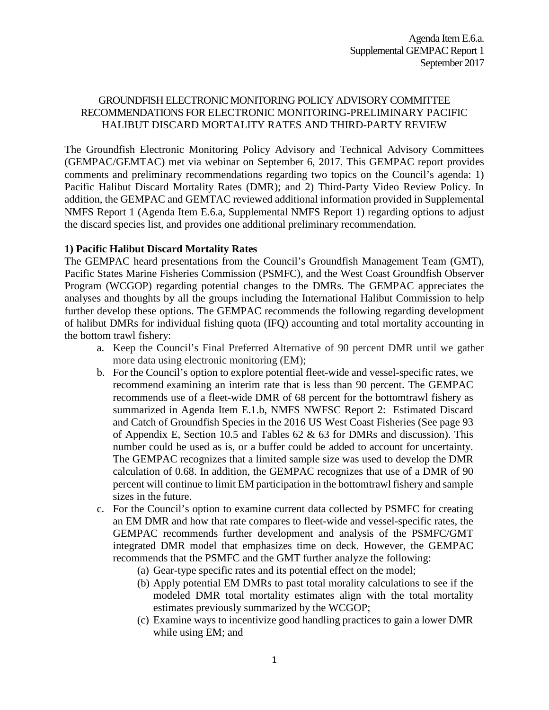#### GROUNDFISH ELECTRONIC MONITORING POLICY ADVISORY COMMITTEE RECOMMENDATIONS FOR ELECTRONIC MONITORING-PRELIMINARY PACIFIC HALIBUT DISCARD MORTALITY RATES AND THIRD-PARTY REVIEW

The Groundfish Electronic Monitoring Policy Advisory and Technical Advisory Committees (GEMPAC/GEMTAC) met via webinar on September 6, 2017. This GEMPAC report provides comments and preliminary recommendations regarding two topics on the Council's agenda: 1) Pacific Halibut Discard Mortality Rates (DMR); and 2) Third‐Party Video Review Policy. In addition, the GEMPAC and GEMTAC reviewed additional information provided in Supplemental NMFS Report 1 (Agenda Item E.6.a, Supplemental NMFS Report 1) regarding options to adjust the discard species list, and provides one additional preliminary recommendation.

#### **1) Pacific Halibut Discard Mortality Rates**

The GEMPAC heard presentations from the Council's Groundfish Management Team (GMT), Pacific States Marine Fisheries Commission (PSMFC), and the West Coast Groundfish Observer Program (WCGOP) regarding potential changes to the DMRs. The GEMPAC appreciates the analyses and thoughts by all the groups including the International Halibut Commission to help further develop these options. The GEMPAC recommends the following regarding development of halibut DMRs for individual fishing quota (IFQ) accounting and total mortality accounting in the bottom trawl fishery:

- a. Keep the Council's Final Preferred Alternative of 90 percent DMR until we gather more data using electronic monitoring (EM);
- b. For the Council's option to explore potential fleet-wide and vessel-specific rates, we recommend examining an interim rate that is less than 90 percent. The GEMPAC recommends use of a fleet-wide DMR of 68 percent for the bottomtrawl fishery as summarized in Agenda Item E.1.b, NMFS NWFSC Report 2: Estimated Discard and Catch of Groundfish Species in the 2016 US West Coast Fisheries (See page 93 of Appendix E, Section 10.5 and Tables 62 & 63 for DMRs and discussion). This number could be used as is, or a buffer could be added to account for uncertainty. The GEMPAC recognizes that a limited sample size was used to develop the DMR calculation of 0.68. In addition, the GEMPAC recognizes that use of a DMR of 90 percent will continue to limit EM participation in the bottomtrawl fishery and sample sizes in the future.
- c. For the Council's option to examine current data collected by PSMFC for creating an EM DMR and how that rate compares to fleet-wide and vessel-specific rates, the GEMPAC recommends further development and analysis of the PSMFC/GMT integrated DMR model that emphasizes time on deck. However, the GEMPAC recommends that the PSMFC and the GMT further analyze the following:
	- (a) Gear-type specific rates and its potential effect on the model;
	- (b) Apply potential EM DMRs to past total morality calculations to see if the modeled DMR total mortality estimates align with the total mortality estimates previously summarized by the WCGOP;
	- (c) Examine ways to incentivize good handling practices to gain a lower DMR while using EM; and